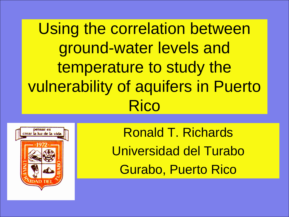Using the correlation between ground-water levels and temperature to study the vulnerability of aquifers in Puerto Rico



Ronald T. Richards Universidad del Turabo Gurabo, Puerto Rico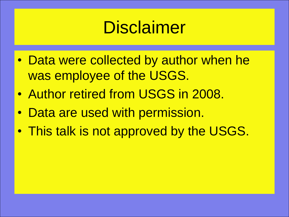# **Disclaimer**

- Data were collected by author when he was employee of the USGS.
- Author retired from USGS in 2008.
- Data are used with permission.
- This talk is not approved by the USGS.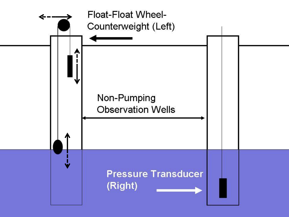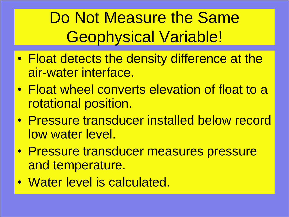Do Not Measure the Same Geophysical Variable!

- Float detects the density difference at the air-water interface.
- Float wheel converts elevation of float to a rotational position.
- Pressure transducer installed below record low water level.
- Pressure transducer measures pressure and temperature.
- Water level is calculated.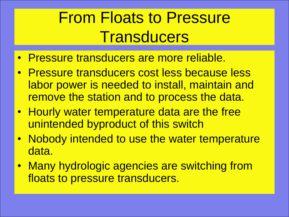## From Floats to Pressure **Transducers**

- Pressure transducers are more reliable.
- Pressure transducers cost less because less labor power is needed to install, maintain and remove the station and to process the data.
- Hourly water temperature data are the free unintended byproduct of this switch
- Nobody intended to use the water temperature data.
- Many hydrologic agencies are switching from floats to pressure transducers.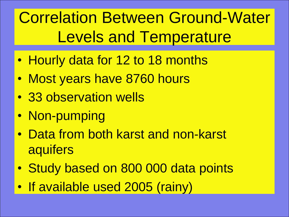# Correlation Between Ground-Water Levels and Temperature

- Hourly data for 12 to 18 months
- Most years have 8760 hours
- 33 observation wells
- Non-pumping
- Data from both karst and non-karst **aquifers**
- Study based on 800 000 data points
- If available used 2005 (rainy)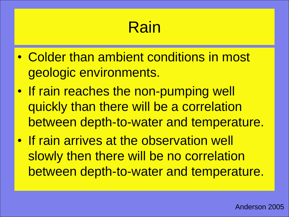## Rain

- Colder than ambient conditions in most geologic environments.
- If rain reaches the non-pumping well quickly than there will be a correlation between depth-to-water and temperature.
- If rain arrives at the observation well slowly then there will be no correlation between depth-to-water and temperature.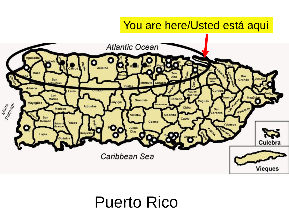### You are here/Usted está aqui



## Puerto Rico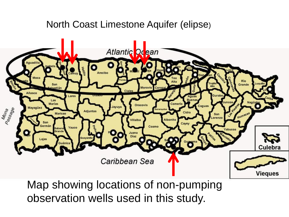### North Coast Limestone Aquifer (elipse)



Map showing locations of non-pumping observation wells used in this study.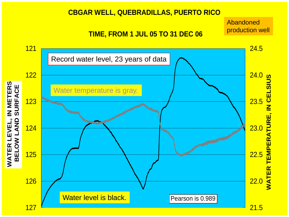#### **CBGAR WELL, QUEBRADILLAS, PUERTO RICO**

### **TIME, FROM 1 JUL 05 TO 31 DEC 06**

Abandoned

production well

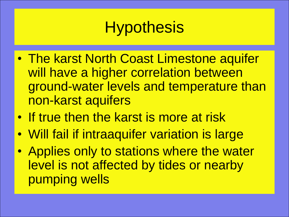## **Hypothesis**

- The karst North Coast Limestone aquifer will have a higher correlation between ground-water levels and temperature than non-karst aquifers
- If true then the karst is more at risk
- Will fail if intraaquifer variation is large
- Applies only to stations where the water level is not affected by tides or nearby pumping wells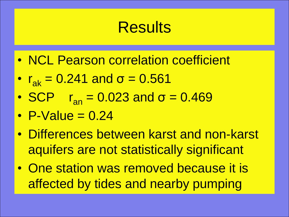## **Results**

- NCL Pearson correlation coefficient
- $r_{\rm ak} = 0.241$  and  $\sigma = 0.561$
- SCP  $r_{\rm an} = 0.023$  and  $\sigma = 0.469$
- P-Value  $= 0.24$
- Differences between karst and non-karst aquifers are not statistically significant
- One station was removed because it is affected by tides and nearby pumping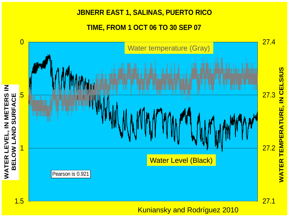#### **JBNERR EAST 1, SALINAS, PUERTO RICO**

**TIME, FROM 1 OCT 06 TO 30 SEP 07**



Kuniansky and Rodríguez 2010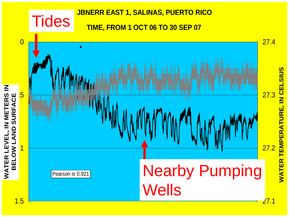### **JBNERR EAST 1, SALINAS, PUERTO RICO Tides TIME, FROM 1 OCT 06 TO 30 SEP 07** 0 27.4 TEMPERATURE, IN CELSIUS **WATER TEMPERATURE, IN CELSIUS** WATER LEVEL, IN METERS IN<br>BELOW LAND SURFACE  $\overline{\mathsf{z}}$ 27.3 **WATER LEVEL, IN METERS** BELOW LAND SURFACE 27.2 1 WATER Nearby Pumping Pearson is 0.921 **Wells**

1.5

27.1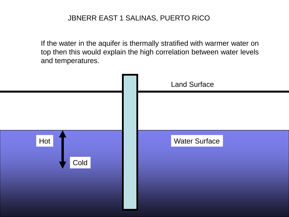If the water in the aquifer is thermally stratified with warmer water on top then this would explain the high correlation between water levels and temperatures.

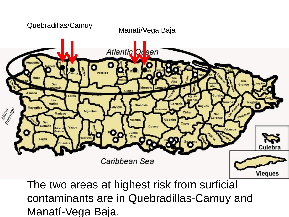

The two areas at highest risk from surficial contaminants are in Quebradillas-Camuy and Manatí-Vega Baja.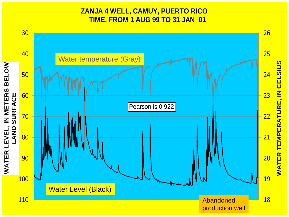### **ZANJA 4 WELL, CAMUY, PUERTO RICO TIME, FROM 1 AUG 99 TO 31 JAN 01**

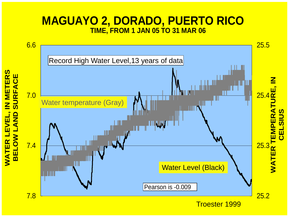### **MAGUAYO 2, DORADO, PUERTO RICO TIME, FROM 1 JAN 05 TO 31 MAR 06**

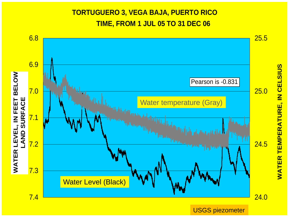### **TORTUGUERO 3, VEGA BAJA, PUERTO RICO TIME, FROM 1 JUL 05 TO 31 DEC 06**



**WATER TEMPERATURE, IN CELSIUS WATER TEMPERATURE, IN CELSIUS**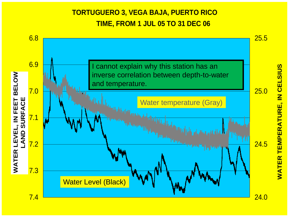### **TORTUGUERO 3, VEGA BAJA, PUERTO RICO TIME, FROM 1 JUL 05 TO 31 DEC 06**



**WATER TEMPERATURE, IN CELSIUS WATER TEMPERATURE, IN CELSIUS**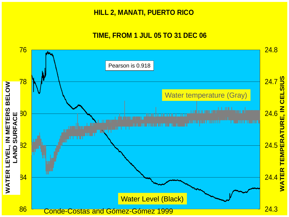#### **HILL 2, MANATI, PUERTO RICO**

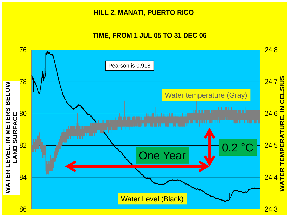#### **HILL 2, MANATI, PUERTO RICO**

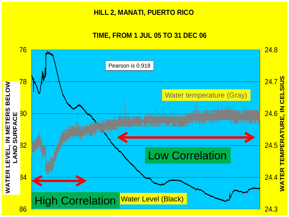#### **HILL 2, MANATI, PUERTO RICO**

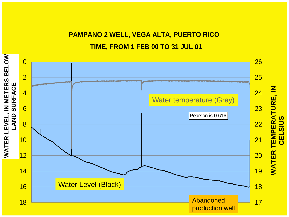### **PAMPANO 2 WELL, VEGA ALTA, PUERTO RICO TIME, FROM 1 FEB 00 TO 31 JUL 01**

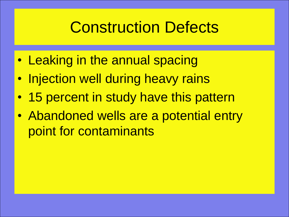## Construction Defects

- Leaking in the annual spacing
- Injection well during heavy rains
- 15 percent in study have this pattern
- Abandoned wells are a potential entry point for contaminants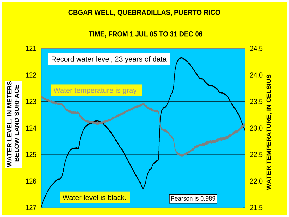#### **CBGAR WELL, QUEBRADILLAS, PUERTO RICO**

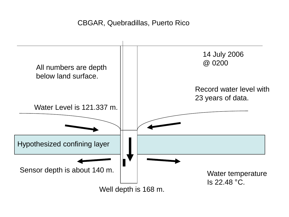### CBGAR, Quebradillas, Puerto Rico

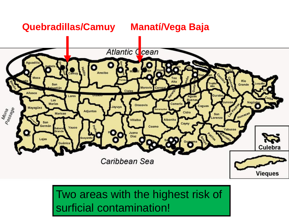### **Quebradillas/Camuy Manatí/Vega Baja**



### Two areas with the highest risk of surficial contamination!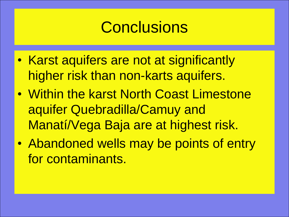## **Conclusions**

- Karst aquifers are not at significantly higher risk than non-karts aquifers.
- Within the karst North Coast Limestone aquifer Quebradilla/Camuy and Manatí/Vega Baja are at highest risk.
- Abandoned wells may be points of entry for contaminants.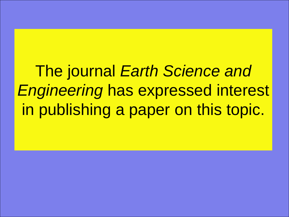The journal *Earth Science and Engineering* has expressed interest in publishing a paper on this topic.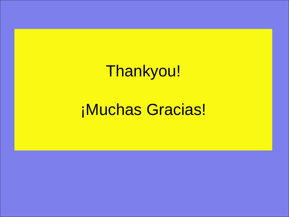Thankyou!

## ¡Muchas Gracias!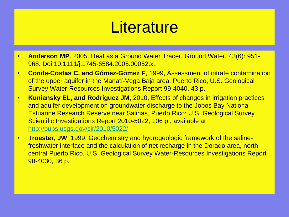## **Literature**

- **Anderson MP**. 2005. Heat as a Ground Water Tracer. Ground Water. 43(6): 951- 968. Doi:10.1111/j.1745-6584.2005.00052.x.
- **Conde-Costas C, and Gómez-Gómez F**, 1999, Assessment of nitrate contamination of the upper aquifer in the Manatí-Vega Baja area, Puerto Rico, U.S. Geological Survey Water-Resources Investigations Report 99-4040, 43 p.
- **Kuniansky EL, and Rodríguez JM**, 2010, Effects of changes in irrigation practices and aquifer development on groundwater discharge to the Jobos Bay National Estuarine Research Reserve near Salinas, Puerto Rico: U.S. Geological Survey Scientific Investigations Report 2010-5022, 106 p., available at <http://pubs.usgs.gov/sir/2010/5022/>
- **Troester, JW**, 1999, Geochemistry and hydrogeologic framework of the salinefreshwater interface and the calculation of net recharge in the Dorado area, northcentral Puerto Rico, U.S. Geological Survey Water-Resources Investigations Report 98-4030, 36 p.